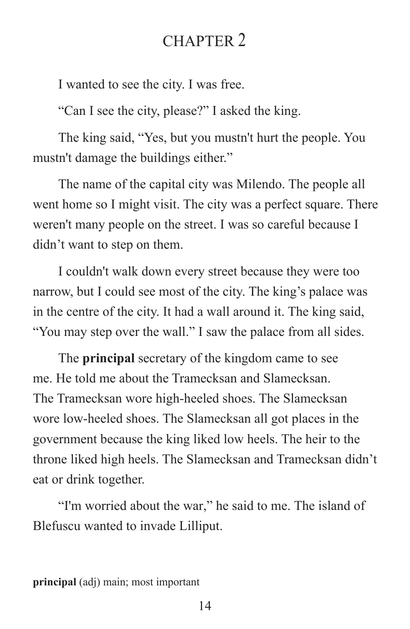## CHAPTER 2

I wanted to see the city. I was free.

"Can I see the city, please?" I asked the king.

The king said, "Yes, but you mustn't hurt the people. You mustn't damage the buildings either."

The name of the capital city was Milendo. The people all went home so I might visit. The city was a perfect square. There weren't many people on the street. I was so careful because I didn't want to step on them.

I couldn't walk down every street because they were too narrow, but I could see most of the city. The king's palace was in the centre of the city. It had a wall around it. The king said, "You may step over the wall." I saw the palace from all sides.

The **principal** secretary of the kingdom came to see me. He told me about the Tramecksan and Slamecksan. The Tramecksan wore high-heeled shoes. The Slamecksan wore low-heeled shoes. The Slamecksan all got places in the government because the king liked low heels. The heir to the throne liked high heels. The Slamecksan and Tramecksan didn't eat or drink together.

"I'm worried about the war," he said to me. The island of Blefuscu wanted to invade Lilliput.

**principal** (adj) main; most important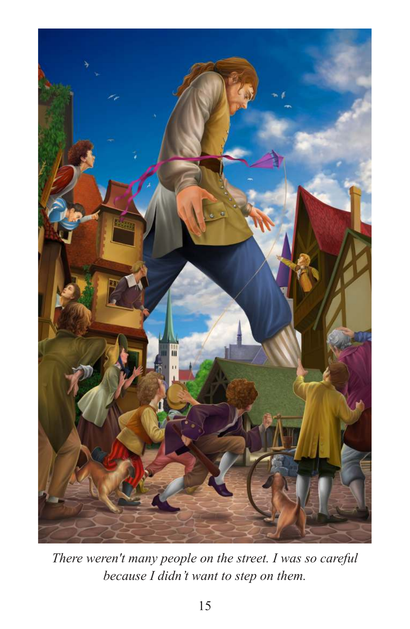

*There weren't many people on the street. I was so careful because I didn't want to step on them.*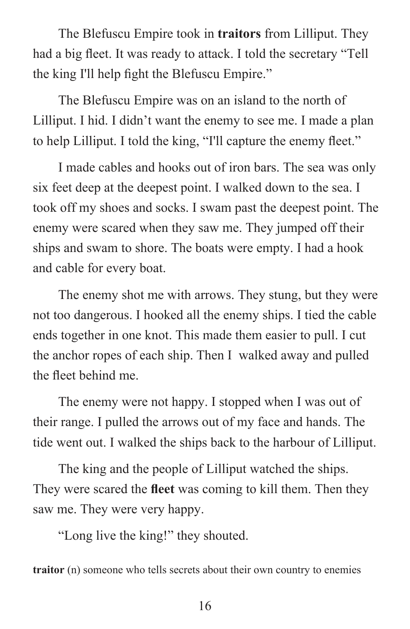The Blefuscu Empire took in **traitors** from Lilliput. They had a big fleet. It was ready to attack. I told the secretary "Tell the king I'll help fight the Blefuscu Empire."

The Blefuscu Empire was on an island to the north of Lilliput. I hid. I didn't want the enemy to see me. I made a plan to help Lilliput. I told the king, "I'll capture the enemy fleet."

I made cables and hooks out of iron bars. The sea was only six feet deep at the deepest point. I walked down to the sea. I took off my shoes and socks. I swam past the deepest point. The enemy were scared when they saw me. They jumped off their ships and swam to shore. The boats were empty. I had a hook and cable for every boat.

The enemy shot me with arrows. They stung, but they were not too dangerous. I hooked all the enemy ships. I tied the cable ends together in one knot. This made them easier to pull. I cut the anchor ropes of each ship. Then I walked away and pulled the fleet behind me.

The enemy were not happy. I stopped when I was out of their range. I pulled the arrows out of my face and hands. The tide went out. I walked the ships back to the harbour of Lilliput.

The king and the people of Lilliput watched the ships. They were scared the **fleet** was coming to kill them. Then they saw me. They were very happy.

"Long live the king!" they shouted.

**traitor** (n) someone who tells secrets about their own country to enemies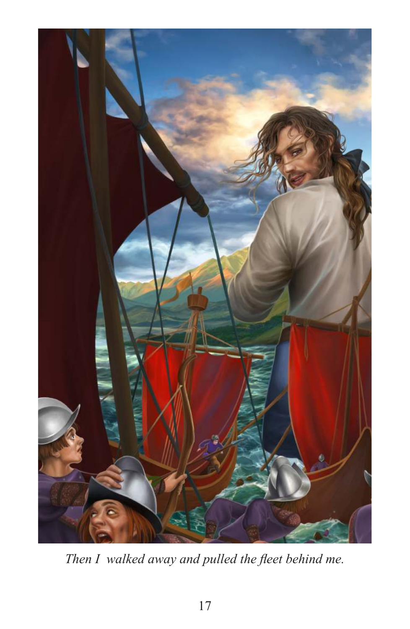

*Then I walked away and pulled the fleet behind me.*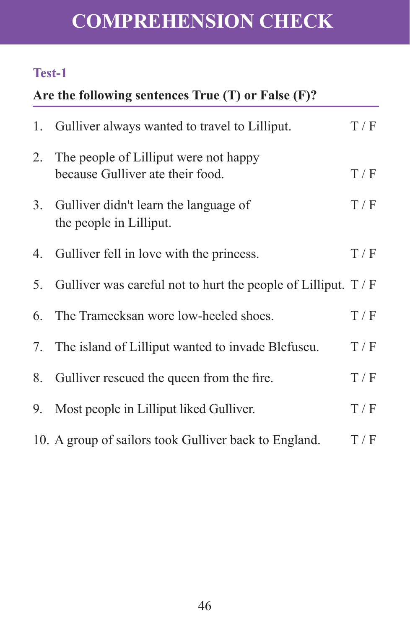# **COMPREHENSION CHECK**

## **Test-1**

## **Are the following sentences True (T) or False (F)?**

|                | 1. Gulliver always wanted to travel to Lilliput.                          | T/F |
|----------------|---------------------------------------------------------------------------|-----|
| 2.             | The people of Lilliput were not happy<br>because Gulliver ate their food. | T/F |
| 3 <sub>1</sub> | Gulliver didn't learn the language of<br>the people in Lilliput.          | T/F |
| 4.             | Gulliver fell in love with the princess.                                  | T/F |
| 5.             | Gulliver was careful not to hurt the people of Lilliput. $T / F$          |     |
|                | 6. The Tramecksan wore low-heeled shoes.                                  | T/F |
| 7.             | The island of Lilliput wanted to invade Blefuscu.                         | T/F |
| 8.             | Gulliver rescued the queen from the fire.                                 | T/F |
| 9.             | Most people in Lilliput liked Gulliver.                                   | T/F |
|                | 10. A group of sailors took Gulliver back to England.                     | T/F |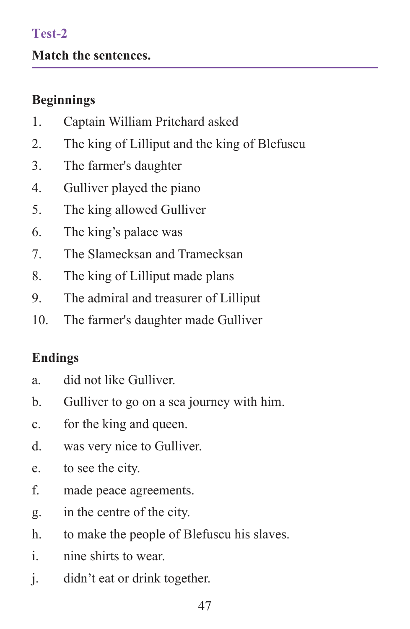#### **Test-2**

#### **Match the sentences.**

### **Beginnings**

- 1. Captain William Pritchard asked
- 2. The king of Lilliput and the king of Blefuscu
- 3. The farmer's daughter
- 4. Gulliver played the piano
- 5. The king allowed Gulliver
- 6. The king's palace was
- 7. The Slamecksan and Tramecksan
- 8. The king of Lilliput made plans
- 9. The admiral and treasurer of Lilliput
- 10. The farmer's daughter made Gulliver

## **Endings**

- a. did not like Gulliver.
- b. Gulliver to go on a sea journey with him.
- c. for the king and queen.
- d. was very nice to Gulliver.
- e. to see the city.
- f. made peace agreements.
- g. in the centre of the city.
- h. to make the people of Blefuscu his slaves.
- i. nine shirts to wear.
- j. didn't eat or drink together.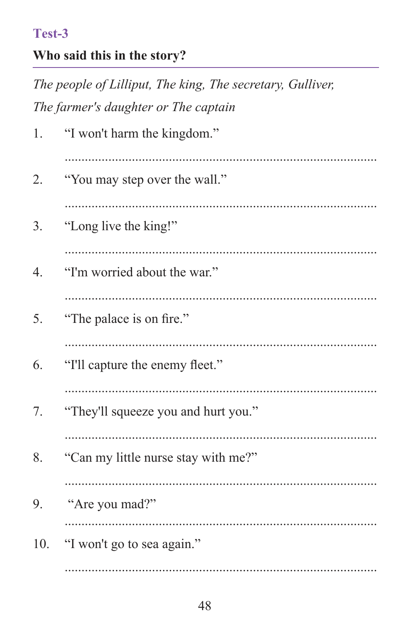#### Test-3

## Who said this in the story?

The people of Lilliput, The king, The secretary, Gulliver, The farmer's daughter or The captain

| 1.  | "I won't harm the kingdom."         |  |  |  |  |
|-----|-------------------------------------|--|--|--|--|
| 2.  | "You may step over the wall."       |  |  |  |  |
| 3.  | "Long live the king!"               |  |  |  |  |
| 4.  | "I'm worried about the war."        |  |  |  |  |
| 5.  | "The palace is on fire."            |  |  |  |  |
| 6.  | "I'll capture the enemy fleet."     |  |  |  |  |
| 7.  | "They'll squeeze you and hurt you." |  |  |  |  |
| 8.  | "Can my little nurse stay with me?" |  |  |  |  |
| 9.  | "Are you mad?"                      |  |  |  |  |
| 10. | "I won't go to sea again."          |  |  |  |  |
|     |                                     |  |  |  |  |